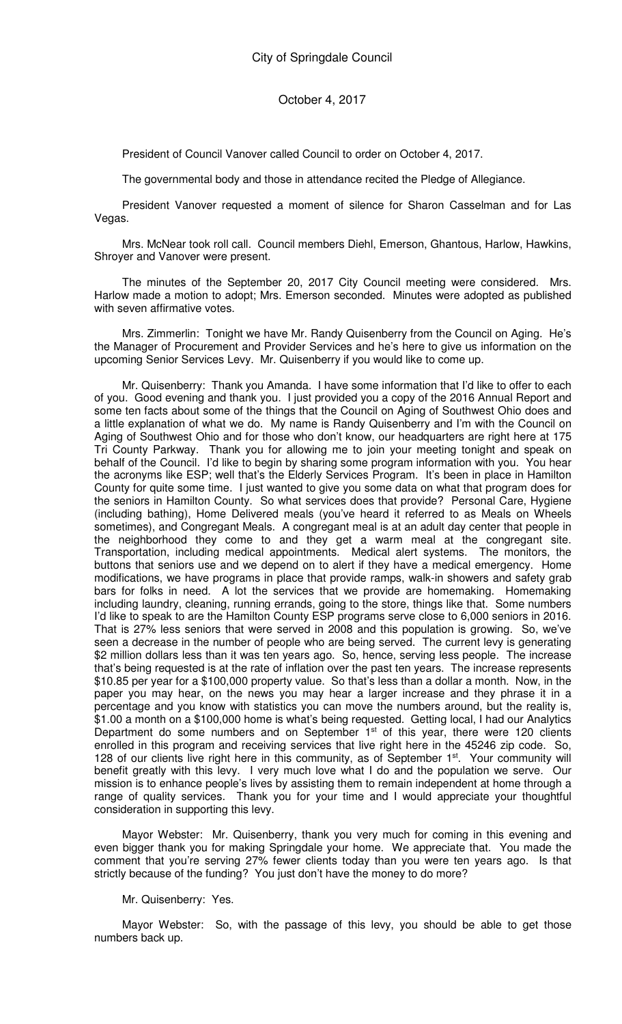President of Council Vanover called Council to order on October 4, 2017.

The governmental body and those in attendance recited the Pledge of Allegiance.

President Vanover requested a moment of silence for Sharon Casselman and for Las Vegas.

Mrs. McNear took roll call. Council members Diehl, Emerson, Ghantous, Harlow, Hawkins, Shroyer and Vanover were present.

The minutes of the September 20, 2017 City Council meeting were considered. Mrs. Harlow made a motion to adopt; Mrs. Emerson seconded. Minutes were adopted as published with seven affirmative votes.

Mrs. Zimmerlin: Tonight we have Mr. Randy Quisenberry from the Council on Aging. He's the Manager of Procurement and Provider Services and he's here to give us information on the upcoming Senior Services Levy. Mr. Quisenberry if you would like to come up.

Mr. Quisenberry: Thank you Amanda. I have some information that I'd like to offer to each of you. Good evening and thank you. I just provided you a copy of the 2016 Annual Report and some ten facts about some of the things that the Council on Aging of Southwest Ohio does and a little explanation of what we do. My name is Randy Quisenberry and I'm with the Council on Aging of Southwest Ohio and for those who don't know, our headquarters are right here at 175 Tri County Parkway. Thank you for allowing me to join your meeting tonight and speak on behalf of the Council. I'd like to begin by sharing some program information with you. You hear the acronyms like ESP; well that's the Elderly Services Program. It's been in place in Hamilton County for quite some time. I just wanted to give you some data on what that program does for the seniors in Hamilton County. So what services does that provide? Personal Care, Hygiene (including bathing), Home Delivered meals (you've heard it referred to as Meals on Wheels sometimes), and Congregant Meals. A congregant meal is at an adult day center that people in the neighborhood they come to and they get a warm meal at the congregant site. Transportation, including medical appointments. Medical alert systems. The monitors, the buttons that seniors use and we depend on to alert if they have a medical emergency. Home modifications, we have programs in place that provide ramps, walk-in showers and safety grab bars for folks in need. A lot the services that we provide are homemaking. Homemaking including laundry, cleaning, running errands, going to the store, things like that. Some numbers I'd like to speak to are the Hamilton County ESP programs serve close to 6,000 seniors in 2016. That is 27% less seniors that were served in 2008 and this population is growing. So, we've seen a decrease in the number of people who are being served. The current levy is generating \$2 million dollars less than it was ten years ago. So, hence, serving less people. The increase that's being requested is at the rate of inflation over the past ten years. The increase represents \$10.85 per year for a \$100,000 property value. So that's less than a dollar a month. Now, in the paper you may hear, on the news you may hear a larger increase and they phrase it in a percentage and you know with statistics you can move the numbers around, but the reality is, \$1.00 a month on a \$100,000 home is what's being requested. Getting local, I had our Analytics Department do some numbers and on September 1<sup>st</sup> of this year, there were 120 clients enrolled in this program and receiving services that live right here in the 45246 zip code. So, 128 of our clients live right here in this community, as of September 1<sup>st</sup>. Your community will benefit greatly with this levy. I very much love what I do and the population we serve. Our mission is to enhance people's lives by assisting them to remain independent at home through a range of quality services. Thank you for your time and I would appreciate your thoughtful consideration in supporting this levy.

Mayor Webster: Mr. Quisenberry, thank you very much for coming in this evening and even bigger thank you for making Springdale your home. We appreciate that. You made the comment that you're serving 27% fewer clients today than you were ten years ago. Is that strictly because of the funding? You just don't have the money to do more?

## Mr. Quisenberry: Yes.

Mayor Webster: So, with the passage of this levy, you should be able to get those numbers back up.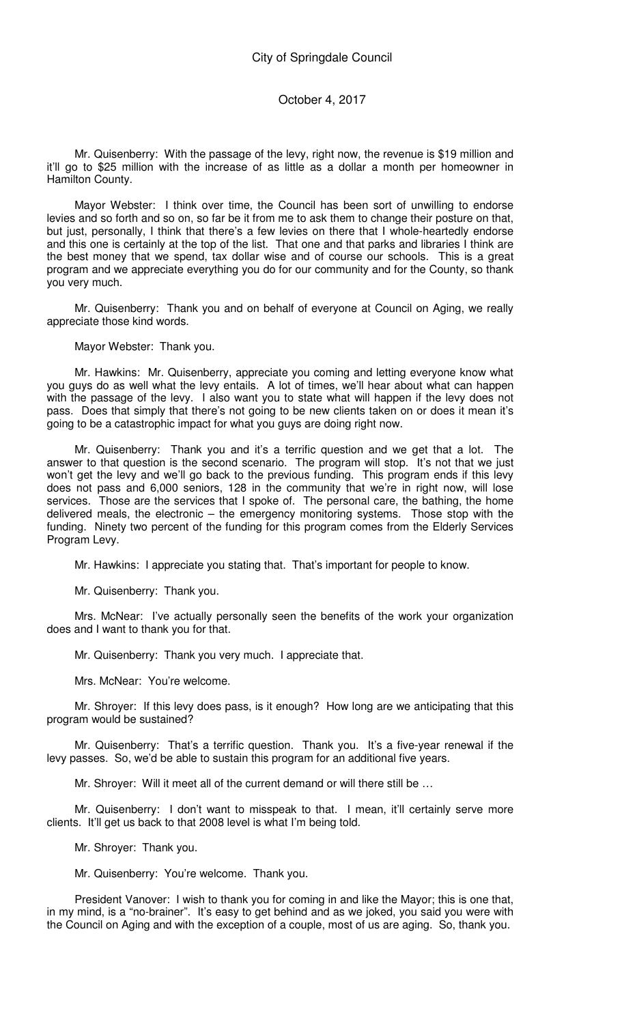Mr. Quisenberry: With the passage of the levy, right now, the revenue is \$19 million and it'll go to \$25 million with the increase of as little as a dollar a month per homeowner in Hamilton County.

Mayor Webster: I think over time, the Council has been sort of unwilling to endorse levies and so forth and so on, so far be it from me to ask them to change their posture on that, but just, personally, I think that there's a few levies on there that I whole-heartedly endorse and this one is certainly at the top of the list. That one and that parks and libraries I think are the best money that we spend, tax dollar wise and of course our schools. This is a great program and we appreciate everything you do for our community and for the County, so thank you very much.

Mr. Quisenberry: Thank you and on behalf of everyone at Council on Aging, we really appreciate those kind words.

Mayor Webster: Thank you.

Mr. Hawkins: Mr. Quisenberry, appreciate you coming and letting everyone know what you guys do as well what the levy entails. A lot of times, we'll hear about what can happen with the passage of the levy. I also want you to state what will happen if the levy does not pass. Does that simply that there's not going to be new clients taken on or does it mean it's going to be a catastrophic impact for what you guys are doing right now.

Mr. Quisenberry: Thank you and it's a terrific question and we get that a lot. The answer to that question is the second scenario. The program will stop. It's not that we just won't get the levy and we'll go back to the previous funding. This program ends if this levy does not pass and 6,000 seniors, 128 in the community that we're in right now, will lose services. Those are the services that I spoke of. The personal care, the bathing, the home delivered meals, the electronic – the emergency monitoring systems. Those stop with the funding. Ninety two percent of the funding for this program comes from the Elderly Services Program Levy.

Mr. Hawkins: I appreciate you stating that. That's important for people to know.

Mr. Quisenberry: Thank you.

Mrs. McNear: I've actually personally seen the benefits of the work your organization does and I want to thank you for that.

Mr. Quisenberry: Thank you very much. I appreciate that.

Mrs. McNear: You're welcome.

Mr. Shroyer: If this levy does pass, is it enough? How long are we anticipating that this program would be sustained?

Mr. Quisenberry: That's a terrific question. Thank you. It's a five-year renewal if the levy passes. So, we'd be able to sustain this program for an additional five years.

Mr. Shroyer: Will it meet all of the current demand or will there still be …

Mr. Quisenberry: I don't want to misspeak to that. I mean, it'll certainly serve more clients. It'll get us back to that 2008 level is what I'm being told.

Mr. Shroyer: Thank you.

Mr. Quisenberry: You're welcome. Thank you.

President Vanover: I wish to thank you for coming in and like the Mayor; this is one that, in my mind, is a "no-brainer". It's easy to get behind and as we joked, you said you were with the Council on Aging and with the exception of a couple, most of us are aging. So, thank you.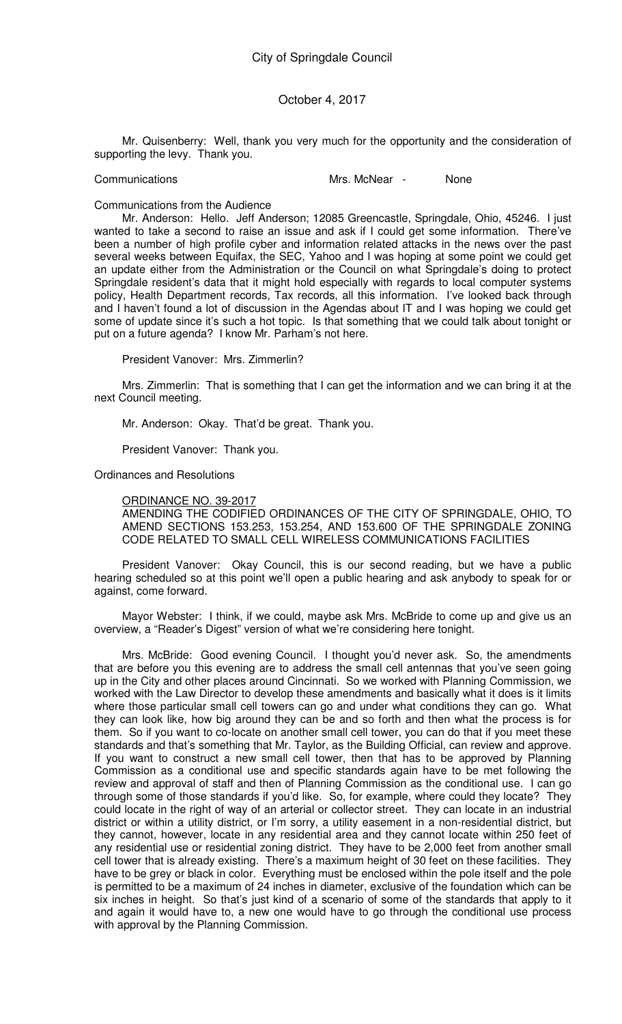Mr. Quisenberry: Well, thank you very much for the opportunity and the consideration of supporting the levy. Thank you.

Communications Mrs. McNear - None

Communications from the Audience

Mr. Anderson: Hello. Jeff Anderson; 12085 Greencastle, Springdale, Ohio, 45246. I just wanted to take a second to raise an issue and ask if I could get some information. There've been a number of high profile cyber and information related attacks in the news over the past several weeks between Equifax, the SEC, Yahoo and I was hoping at some point we could get an update either from the Administration or the Council on what Springdale's doing to protect Springdale resident's data that it might hold especially with regards to local computer systems policy, Health Department records, Tax records, all this information. I've looked back through and I haven't found a lot of discussion in the Agendas about IT and I was hoping we could get some of update since it's such a hot topic. Is that something that we could talk about tonight or put on a future agenda? I know Mr. Parham's not here.

President Vanover: Mrs. Zimmerlin?

Mrs. Zimmerlin: That is something that I can get the information and we can bring it at the next Council meeting.

Mr. Anderson: Okay. That'd be great. Thank you.

President Vanover: Thank you.

Ordinances and Resolutions

ORDINANCE NO. 39-2017

AMENDING THE CODIFIED ORDINANCES OF THE CITY OF SPRINGDALE, OHIO, TO AMEND SECTIONS 153.253, 153.254, AND 153.600 OF THE SPRINGDALE ZONING CODE RELATED TO SMALL CELL WIRELESS COMMUNICATIONS FACILITIES

President Vanover: Okay Council, this is our second reading, but we have a public hearing scheduled so at this point we'll open a public hearing and ask anybody to speak for or against, come forward.

Mayor Webster: I think, if we could, maybe ask Mrs. McBride to come up and give us an overview, a "Reader's Digest" version of what we're considering here tonight.

Mrs. McBride: Good evening Council. I thought you'd never ask. So, the amendments that are before you this evening are to address the small cell antennas that you've seen going up in the City and other places around Cincinnati. So we worked with Planning Commission, we worked with the Law Director to develop these amendments and basically what it does is it limits where those particular small cell towers can go and under what conditions they can go. What they can look like, how big around they can be and so forth and then what the process is for them. So if you want to co-locate on another small cell tower, you can do that if you meet these standards and that's something that Mr. Taylor, as the Building Official, can review and approve. If you want to construct a new small cell tower, then that has to be approved by Planning Commission as a conditional use and specific standards again have to be met following the review and approval of staff and then of Planning Commission as the conditional use. I can go through some of those standards if you'd like. So, for example, where could they locate? They could locate in the right of way of an arterial or collector street. They can locate in an industrial district or within a utility district, or I'm sorry, a utility easement in a non-residential district, but they cannot, however, locate in any residential area and they cannot locate within 250 feet of any residential use or residential zoning district. They have to be 2,000 feet from another small cell tower that is already existing. There's a maximum height of 30 feet on these facilities. They have to be grey or black in color. Everything must be enclosed within the pole itself and the pole is permitted to be a maximum of 24 inches in diameter, exclusive of the foundation which can be six inches in height. So that's just kind of a scenario of some of the standards that apply to it and again it would have to, a new one would have to go through the conditional use process with approval by the Planning Commission.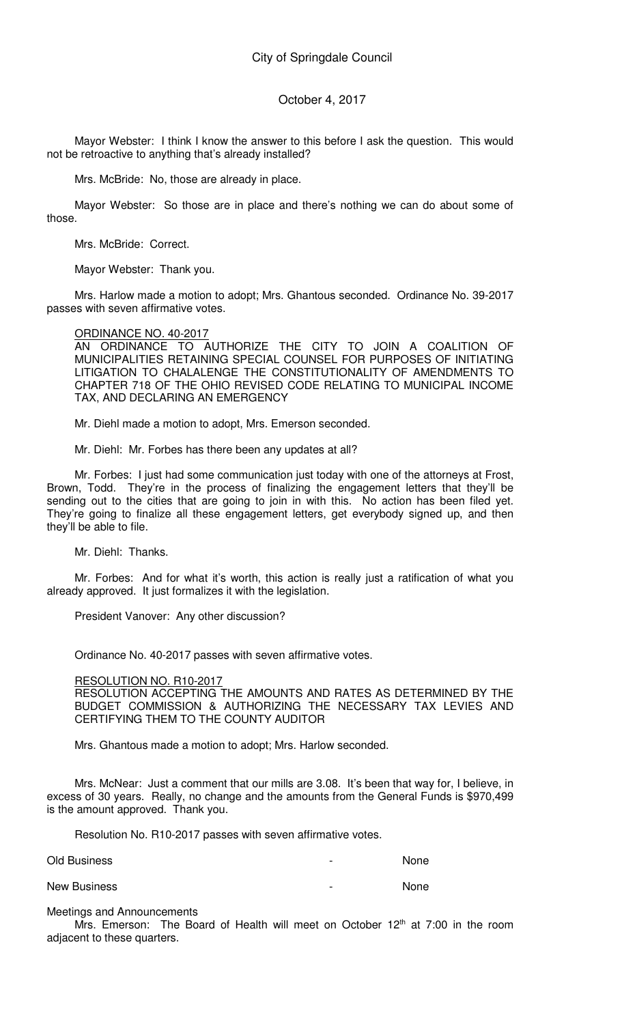Mayor Webster: I think I know the answer to this before I ask the question. This would not be retroactive to anything that's already installed?

Mrs. McBride: No, those are already in place.

Mayor Webster: So those are in place and there's nothing we can do about some of those.

Mrs. McBride: Correct.

Mayor Webster: Thank you.

Mrs. Harlow made a motion to adopt; Mrs. Ghantous seconded. Ordinance No. 39-2017 passes with seven affirmative votes.

## ORDINANCE NO. 40-2017

AN ORDINANCE TO AUTHORIZE THE CITY TO JOIN A COALITION OF MUNICIPALITIES RETAINING SPECIAL COUNSEL FOR PURPOSES OF INITIATING LITIGATION TO CHALALENGE THE CONSTITUTIONALITY OF AMENDMENTS TO CHAPTER 718 OF THE OHIO REVISED CODE RELATING TO MUNICIPAL INCOME TAX, AND DECLARING AN EMERGENCY

Mr. Diehl made a motion to adopt, Mrs. Emerson seconded.

Mr. Diehl: Mr. Forbes has there been any updates at all?

Mr. Forbes: I just had some communication just today with one of the attorneys at Frost, Brown, Todd. They're in the process of finalizing the engagement letters that they'll be sending out to the cities that are going to join in with this. No action has been filed yet. They're going to finalize all these engagement letters, get everybody signed up, and then they'll be able to file.

Mr. Diehl: Thanks.

Mr. Forbes: And for what it's worth, this action is really just a ratification of what you already approved. It just formalizes it with the legislation.

President Vanover: Any other discussion?

Ordinance No. 40-2017 passes with seven affirmative votes.

## RESOLUTION NO. R10-2017

RESOLUTION ACCEPTING THE AMOUNTS AND RATES AS DETERMINED BY THE BUDGET COMMISSION & AUTHORIZING THE NECESSARY TAX LEVIES AND CERTIFYING THEM TO THE COUNTY AUDITOR

Mrs. Ghantous made a motion to adopt; Mrs. Harlow seconded.

Mrs. McNear: Just a comment that our mills are 3.08. It's been that way for, I believe, in excess of 30 years. Really, no change and the amounts from the General Funds is \$970,499 is the amount approved. Thank you.

Resolution No. R10-2017 passes with seven affirmative votes.

Old Business - None New Business and the set of the set of the set of the set of the set of the set of the set of the set of the set of the set of the set of the set of the set of the set of the set of the set of the set of the set of the set

## Meetings and Announcements

Mrs. Emerson: The Board of Health will meet on October  $12<sup>th</sup>$  at 7:00 in the room adjacent to these quarters.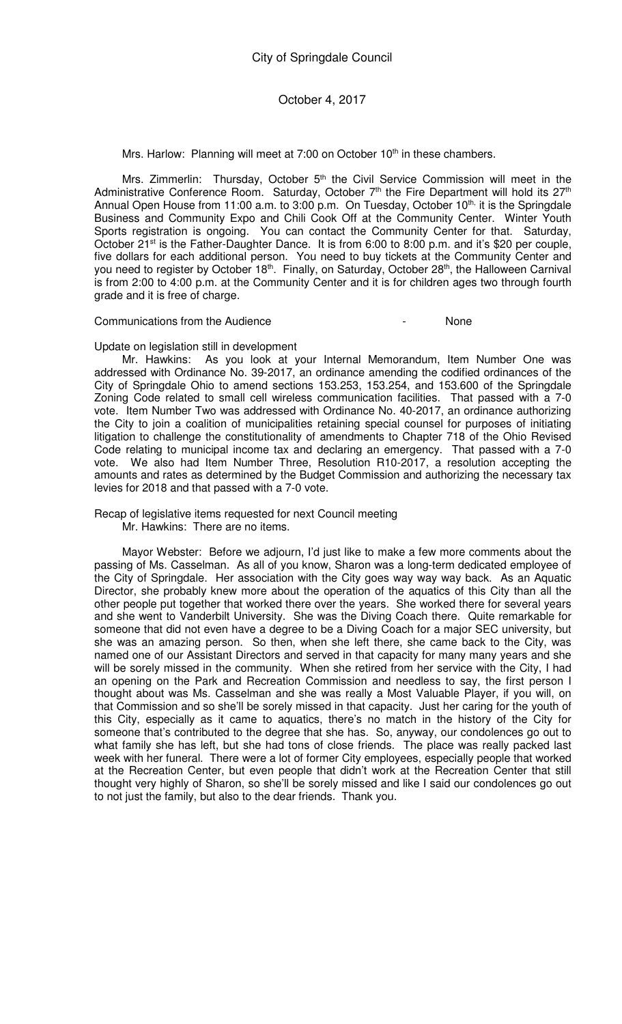Mrs. Harlow: Planning will meet at 7:00 on October 10<sup>th</sup> in these chambers.

Mrs. Zimmerlin: Thursday, October 5<sup>th</sup> the Civil Service Commission will meet in the Administrative Conference Room. Saturday, October 7<sup>th</sup> the Fire Department will hold its 27<sup>th</sup> Annual Open House from 11:00 a.m. to 3:00 p.m. On Tuesday, October 10<sup>th,</sup> it is the Springdale Business and Community Expo and Chili Cook Off at the Community Center. Winter Youth Sports registration is ongoing. You can contact the Community Center for that. Saturday, October 21<sup>st</sup> is the Father-Daughter Dance. It is from 6:00 to 8:00 p.m. and it's \$20 per couple, five dollars for each additional person. You need to buy tickets at the Community Center and you need to register by October 18<sup>th</sup>. Finally, on Saturday, October 28<sup>th</sup>, the Halloween Carnival is from 2:00 to 4:00 p.m. at the Community Center and it is for children ages two through fourth grade and it is free of charge.

Communications from the Audience - None

Update on legislation still in development

Mr. Hawkins: As you look at your Internal Memorandum, Item Number One was addressed with Ordinance No. 39-2017, an ordinance amending the codified ordinances of the City of Springdale Ohio to amend sections 153.253, 153.254, and 153.600 of the Springdale Zoning Code related to small cell wireless communication facilities. That passed with a 7-0 vote. Item Number Two was addressed with Ordinance No. 40-2017, an ordinance authorizing the City to join a coalition of municipalities retaining special counsel for purposes of initiating litigation to challenge the constitutionality of amendments to Chapter 718 of the Ohio Revised Code relating to municipal income tax and declaring an emergency. That passed with a 7-0 vote. We also had Item Number Three, Resolution R10-2017, a resolution accepting the amounts and rates as determined by the Budget Commission and authorizing the necessary tax levies for 2018 and that passed with a 7-0 vote.

Recap of legislative items requested for next Council meeting Mr. Hawkins: There are no items.

Mayor Webster: Before we adjourn, I'd just like to make a few more comments about the passing of Ms. Casselman. As all of you know, Sharon was a long-term dedicated employee of the City of Springdale. Her association with the City goes way way way back. As an Aquatic Director, she probably knew more about the operation of the aquatics of this City than all the other people put together that worked there over the years. She worked there for several years and she went to Vanderbilt University. She was the Diving Coach there. Quite remarkable for someone that did not even have a degree to be a Diving Coach for a major SEC university, but she was an amazing person. So then, when she left there, she came back to the City, was named one of our Assistant Directors and served in that capacity for many many years and she will be sorely missed in the community. When she retired from her service with the City, I had an opening on the Park and Recreation Commission and needless to say, the first person I thought about was Ms. Casselman and she was really a Most Valuable Player, if you will, on that Commission and so she'll be sorely missed in that capacity. Just her caring for the youth of this City, especially as it came to aquatics, there's no match in the history of the City for someone that's contributed to the degree that she has. So, anyway, our condolences go out to what family she has left, but she had tons of close friends. The place was really packed last week with her funeral. There were a lot of former City employees, especially people that worked at the Recreation Center, but even people that didn't work at the Recreation Center that still thought very highly of Sharon, so she'll be sorely missed and like I said our condolences go out to not just the family, but also to the dear friends. Thank you.